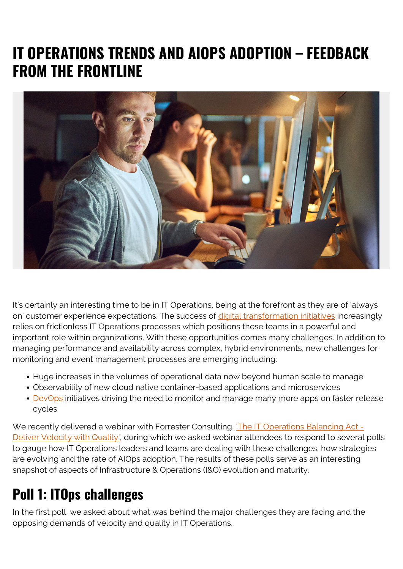## **IT OPERATIONS TRENDS AND AIOPS ADOPTION – FEEDBACK FROM THE FRONTLINE**



It's certainly an interesting time to be in IT Operations, being at the forefront as they are of 'always on' customer experience expectations. The success of [digital transformation initiatives](https://blogs.bmc.com/blogs/how-aiops-leading-digital-transformation/) increasingly relies on frictionless IT Operations processes which positions these teams in a powerful and important role within organizations. With these opportunities comes many challenges. In addition to managing performance and availability across complex, hybrid environments, new challenges for monitoring and event management processes are emerging including:

- Huge increases in the volumes of operational data now beyond human scale to manage
- Observability of new cloud native container-based applications and microservices
- [DevOps](https://blogs.bmc.com/blogs/devops-basics-introduction/) initiatives driving the need to monitor and manage many more apps on faster release cycles

We recently delivered a webinar with Forrester Consulting, The IT Operations Balancing Act -[Deliver Velocity with Quality'](https://blogs.bmc.com/forms/balance-it-operations-with-ai-webinar.html), during which we asked webinar attendees to respond to several polls to gauge how IT Operations leaders and teams are dealing with these challenges, how strategies are evolving and the rate of AIOps adoption. The results of these polls serve as an interesting snapshot of aspects of Infrastructure & Operations (I&O) evolution and maturity.

## **Poll 1: ITOps challenges**

In the first poll, we asked about what was behind the major challenges they are facing and the opposing demands of velocity and quality in IT Operations.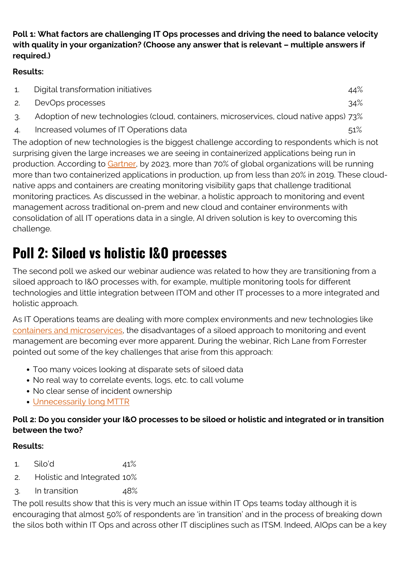#### **Poll 1: What factors are challenging IT Ops processes and driving the need to balance velocity with quality in your organization? (Choose any answer that is relevant – multiple answers if required.)**

#### **Results:**

|               | Digital transformation initiatives                                                              | 44% |
|---------------|-------------------------------------------------------------------------------------------------|-----|
|               | DevOps processes                                                                                | 34% |
| ્ર            | Adoption of new technologies (cloud, containers, microservices, cloud native apps) 73%          |     |
| $\mathcal{A}$ | Increased volumes of IT Operations data                                                         | 51% |
|               | The adoption of new technologies is the biggest challenge according to respondents which is not |     |

surprising given the large increases we are seeing in containerized applications being run in production. According to [Gartner,](https://www.gartner.com/document/3955920) by 2023, more than 70% of global organizations will be running more than two containerized applications in production, up from less than 20% in 2019. These cloudnative apps and containers are creating monitoring visibility gaps that challenge traditional monitoring practices. As discussed in the webinar, a holistic approach to monitoring and event management across traditional on-prem and new cloud and container environments with consolidation of all IT operations data in a single, AI driven solution is key to overcoming this challenge.

# **Poll 2: Siloed vs holistic I&O processes**

The second poll we asked our webinar audience was related to how they are transitioning from a siloed approach to I&O processes with, for example, multiple monitoring tools for different technologies and little integration between ITOM and other IT processes to a more integrated and holistic approach.

As IT Operations teams are dealing with more complex environments and new technologies like [containers and microservices](https://blogs.bmc.com/blogs/getting-started-containers-microservices/), the disadvantages of a siloed approach to monitoring and event management are becoming ever more apparent. During the webinar, Rich Lane from Forrester pointed out some of the key challenges that arise from this approach:

- Too many voices looking at disparate sets of siloed data
- No real way to correlate events, logs, etc. to call volume
- No clear sense of incident ownership
- [Unnecessarily long MTTR](https://blogs.bmc.com/blogs/mtbf-vs-mtff-vs-mttr-whats-difference/)

### **Poll 2: Do you consider your I&O processes to be siloed or holistic and integrated or in transition between the two?**

### **Results:**

- 1. Silo'd 41%
- 2. Holistic and Integrated 10%
- 3. In transition 48%

The poll results show that this is very much an issue within IT Ops teams today although it is encouraging that almost 50% of respondents are 'in transition' and in the process of breaking down the silos both within IT Ops and across other IT disciplines such as ITSM. Indeed, AIOps can be a key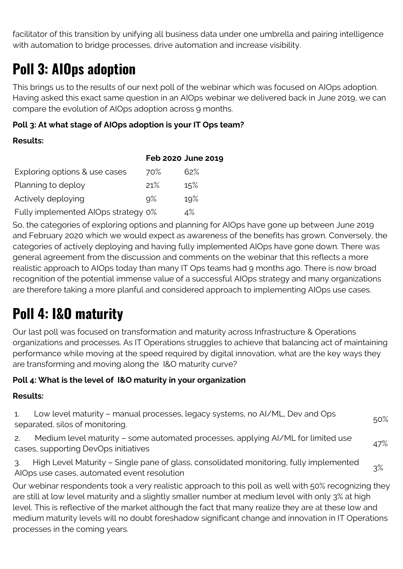facilitator of this transition by unifying all business data under one umbrella and pairing intelligence with automation to bridge processes, drive automation and increase visibility.

## **Poll 3: AIOps adoption**

This brings us to the results of our next poll of the webinar which was focused on AIOps adoption. Having asked this exact same question in an AIOps webinar we delivered back in June 2019, we can compare the evolution of AIOps adoption across 9 months.

#### **Poll 3: At what stage of AIOps adoption is your IT Ops team?**

#### **Results:**

|                                     |       | Feb 2020 June 2019 |
|-------------------------------------|-------|--------------------|
| Exploring options & use cases       | 70%   | 62%                |
| Planning to deploy                  | 21%   | 15%                |
| Actively deploying                  | $9\%$ | 19%                |
| Fully implemented AIOps strategy 0% |       | 4%                 |

So, the categories of exploring options and planning for AIOps have gone up between June 2019 and February 2020 which we would expect as awareness of the benefits has grown. Conversely, the categories of actively deploying and having fully implemented AIOps have gone down. There was general agreement from the discussion and comments on the webinar that this reflects a more realistic approach to AIOps today than many IT Ops teams had 9 months ago. There is now broad recognition of the potential immense value of a successful AIOps strategy and many organizations are therefore taking a more planful and considered approach to implementing AIOps use cases.

## **Poll 4: I&O maturity**

Our last poll was focused on transformation and maturity across Infrastructure & Operations organizations and processes. As IT Operations struggles to achieve that balancing act of maintaining performance while moving at the speed required by digital innovation, what are the key ways they are transforming and moving along the I&O maturity curve?

### **Poll 4: What is the level of I&O maturity in your organization**

#### **Results:**

| 1. Low level maturity - manual processes, legacy systems, no AI/ML, Dev and Ops<br>separated, silos of monitoring.       | $50\%$ |
|--------------------------------------------------------------------------------------------------------------------------|--------|
| Medium level maturity – some automated processes, applying AI/ML for limited use<br>cases, supporting DevOps initiatives | 47%    |

3. High Level Maturity – Single pane of glass, consolidated monitoring, fully implemented S. Then Ecver Maturity Single pane or glass, consolidated monitoring, ratty implemented 3%<br>AlOps use cases, automated event resolution

Our webinar respondents took a very realistic approach to this poll as well with 50% recognizing they are still at low level maturity and a slightly smaller number at medium level with only 3% at high level. This is reflective of the market although the fact that many realize they are at these low and medium maturity levels will no doubt foreshadow significant change and innovation in IT Operations processes in the coming years.